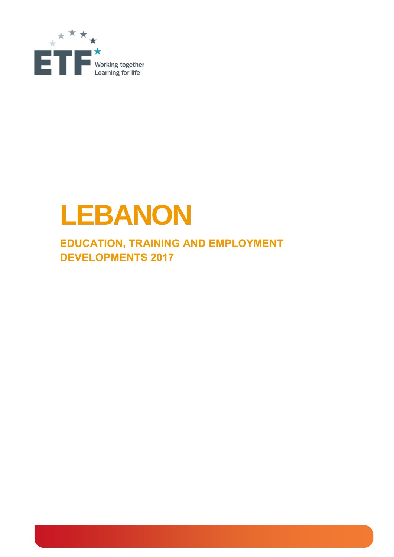

# **LEBANON**

**EDUCATION, TRAINING AND EMPLOYMENT DEVELOPMENTS 2017**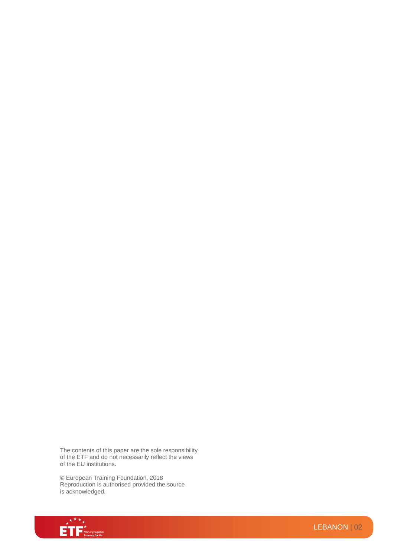The contents of this paper are the sole responsibility of the ETF and do not necessarily reflect the views of the EU institutions.

© European Training Foundation, 2018 Reproduction is authorised provided the source is acknowledged.

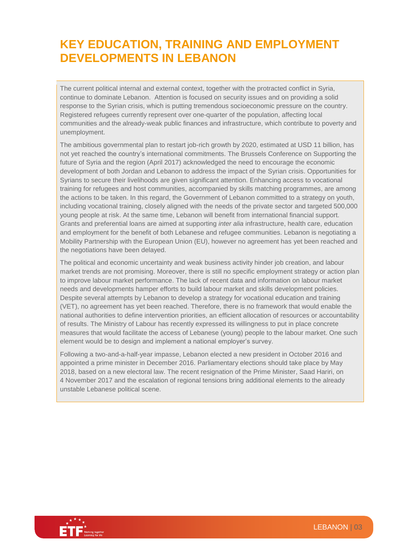## **KEY EDUCATION, TRAINING AND EMPLOYMENT DEVELOPMENTS IN LEBANON**

The current political internal and external context, together with the protracted conflict in Syria, continue to dominate Lebanon. Attention is focused on security issues and on providing a solid response to the Syrian crisis, which is putting tremendous socioeconomic pressure on the country. Registered refugees currently represent over one-quarter of the population, affecting local communities and the already-weak public finances and infrastructure, which contribute to poverty and unemployment.

The ambitious governmental plan to restart job-rich growth by 2020, estimated at USD 11 billion, has not yet reached the country's international commitments. The Brussels Conference on Supporting the future of Syria and the region (April 2017) acknowledged the need to encourage the economic development of both Jordan and Lebanon to address the impact of the Syrian crisis. Opportunities for Syrians to secure their livelihoods are given significant attention. Enhancing access to vocational training for refugees and host communities, accompanied by skills matching programmes, are among the actions to be taken. In this regard, the Government of Lebanon committed to a strategy on youth, including vocational training, closely aligned with the needs of the private sector and targeted 500,000 young people at risk. At the same time, Lebanon will benefit from international financial support. Grants and preferential loans are aimed at supporting *inter alia* infrastructure, health care, education and employment for the benefit of both Lebanese and refugee communities. Lebanon is negotiating a Mobility Partnership with the European Union (EU), however no agreement has yet been reached and the negotiations have been delayed.

The political and economic uncertainty and weak business activity hinder job creation, and labour market trends are not promising. Moreover, there is still no specific employment strategy or action plan to improve labour market performance. The lack of recent data and information on labour market needs and developments hamper efforts to build labour market and skills development policies. Despite several attempts by Lebanon to develop a strategy for vocational education and training (VET), no agreement has yet been reached. Therefore, there is no framework that would enable the national authorities to define intervention priorities, an efficient allocation of resources or accountability of results. The Ministry of Labour has recently expressed its willingness to put in place concrete measures that would facilitate the access of Lebanese (young) people to the labour market. One such element would be to design and implement a national employer's survey.

Following a two-and-a-half-year impasse, Lebanon elected a new president in October 2016 and appointed a prime minister in December 2016. Parliamentary elections should take place by May 2018, based on a new electoral law. The recent resignation of the Prime Minister, Saad Hariri, on 4 November 2017 and the escalation of regional tensions bring additional elements to the already unstable Lebanese political scene.

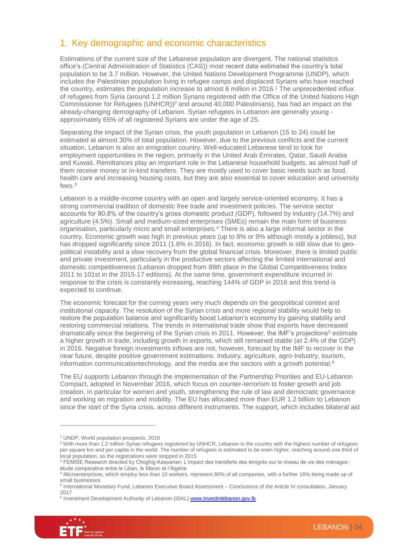#### 1. Key demographic and economic characteristics

Estimations of the current size of the Lebanese population are divergent. The national statistics office's (Central Administration of Statistics (CAS)) most recent data estimated the country's total population to be 3.7 million. However, the United Nations Development Programme (UNDP), which includes the Palestinian population living in refugee camps and displaced Syrians who have reached the country, estimates the population increase to almost 6 million in 2016. <sup>1</sup> The unprecedented influx of refugees from Syria (around 1.2 million Syrians registered with the Office of the United Nations High Commissioner for Refugees (UNHCR)) <sup>2</sup> and around 40,000 Palestinians), has had an impact on the already-changing demography of Lebanon. Syrian refugees in Lebanon are generally young approximately 65% of all registered Syrians are under the age of 25.

Separating the impact of the Syrian crisis, the youth population in Lebanon (15 to 24) could be estimated at almost 30% of total population. However, due to the previous conflicts and the current situation, Lebanon is also an emigration country. Well-educated Lebanese tend to look for employment opportunities in the region, primarily in the United Arab Emirates, Qatar, Saudi Arabia and Kuwait. Remittances play an important role in the Lebanese household budgets, as almost half of them receive money or in-kind transfers. They are mostly used to cover basic needs such as food, health care and increasing housing costs, but they are also essential to cover education and university fees. 3

Lebanon is a middle-income country with an open and largely service-oriented economy. It has a strong commercial tradition of domestic free trade and investment policies. The service sector accounts for 80.8% of the country's gross domestic product (GDP), followed by industry (14.7%) and agriculture (4.5%). Small and medium-sized enterprises (SMEs) remain the main form of business organisation, particularly micro and small enterprises.<sup>4</sup> There is also a large informal sector in the country. Economic growth was high in previous years (up to 8% or 9% although mostly a jobless), but has dropped significantly since 2011 (1.8% in 2016). In fact, economic growth is still slow due to geopolitical instability and a slow recovery from the global financial crisis. Moreover, there is limited public and private investment, particularly in the productive sectors affecting the limited international and domestic competitiveness (Lebanon dropped from 89th place in the Global Competitiveness Index 2011 to 101st in the 2015-17 editions). At the same time, government expenditure incurred in response to the crisis is constantly increasing, reaching 144% of GDP in 2016 and this trend is expected to continue.

The economic forecast for the coming years very much depends on the geopolitical context and institutional capacity. The resolution of the Syrian crisis and more regional stability would help to restore the population balance and significantly boost Lebanon's economy by gaining stability and restoring commercial relations. The trends in international trade show that exports have decreased dramatically since the beginning of the Syrian crisis in 2011. However, the IMF's projections<sup>5</sup> estimate a higher growth in trade, including growth in exports, which still remained stable (at 2.4% of the GDP) in 2016. Negative foreign investments inflows are not, however, forecast by the IMF to recover in the near future, despite positive government estimations. Industry, agriculture, agro-Industry, tourism, information communicationtechnology, and the media are the sectors with a growth potential.<sup>6</sup>

The EU supports Lebanon through the implementation of the Partnership Priorities and EU-Lebanon Compact, adopted in November 2016, which focus on counter-terrorism to foster growth and job creation, in particular for women and youth, strengthening the rule of law and democratic governance and working on migration and mobility. The EU has allocated more than EUR 1.2 billion to Lebanon since the start of the Syria crisis, across different instruments. The support, which includes bilateral aid

<sup>&</sup>lt;sup>6</sup> Investment Development Authority of Lebanon (IDAL) **www.investinlebanon.gov.lb** 



<sup>1</sup> UNDP, World population prospects, 2016

<sup>&</sup>lt;sup>2</sup> With more than 1.2 million Syrian refugees registered by UNHCR, Lebanon is the country with the highest number of refugees per square km and per capita in the world. The number of refugees is estimated to be even higher, reaching around one third of local population, as the registrations were stopped in 2015.

<sup>3</sup> FEMISE Research directed by Choghig Kasparian: L'impact des transferts des émigrés sur le niveau de vie des ménages : étude comparative entre le Liban, le Maroc et l'Algérie

<sup>4</sup> Microenterprises, which employ less than 10 workers, represent 80% of all companies, with a further 16% being made up of small businesses

<sup>&</sup>lt;sup>5</sup> International Monetary Fund, Lebanon Executive Board Assessment - Conclusions of the Article IV consultation, January 2017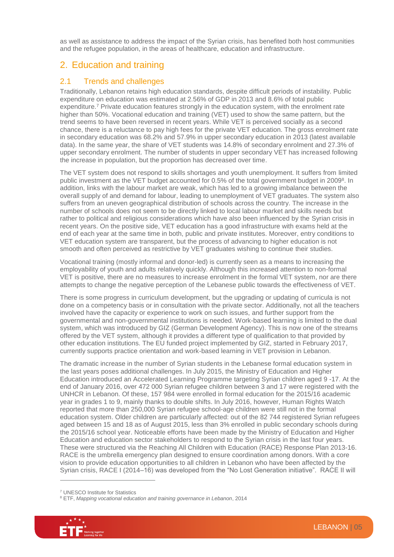as well as assistance to address the impact of the Syrian crisis, has benefited both host communities and the refugee population, in the areas of healthcare, education and infrastructure.

#### 2. Education and training

#### 2.1 Trends and challenges

Traditionally, Lebanon retains high education standards, despite difficult periods of instability. Public expenditure on education was estimated at 2.56% of GDP in 2013 and 8.6% of total public expenditure. <sup>7</sup> Private education features strongly in the education system, with the enrolment rate higher than 50%. Vocational education and training (VET) used to show the same pattern, but the trend seems to have been reversed in recent years. While VET is perceived socially as a second chance, there is a reluctance to pay high fees for the private VET education. The gross enrolment rate in secondary education was 68.2% and 57.9% in upper secondary education in 2013 (latest available data). In the same year, the share of VET students was 14.8% of secondary enrolment and 27.3% of upper secondary enrolment. The number of students in upper secondary VET has increased following the increase in population, but the proportion has decreased over time.

The VET system does not respond to skills shortages and youth unemployment. It suffers from limited public investment as the VET budget accounted for 0.5% of the total government budget in 2009<sup>8</sup>. In addition, links with the labour market are weak, which has led to a growing imbalance between the overall supply of and demand for labour, leading to unemployment of VET graduates. The system also suffers from an uneven geographical distribution of schools across the country. The increase in the number of schools does not seem to be directly linked to local labour market and skills needs but rather to political and religious considerations which have also been influenced by the Syrian crisis in recent years. On the positive side, VET education has a good infrastructure with exams held at the end of each year at the same time in both, public and private institutes. Moreover, entry conditions to VET education system are transparent, but the process of advancing to higher education is not smooth and often perceived as restrictive by VET graduates wishing to continue their studies.

Vocational training (mostly informal and donor-led) is currently seen as a means to increasing the employability of youth and adults relatively quickly. Although this increased attention to non-formal VET is positive, there are no measures to increase enrolment in the formal VET system, nor are there attempts to change the negative perception of the Lebanese public towards the effectiveness of VET.

There is some progress in curriculum development, but the upgrading or updating of curricula is not done on a competency basis or in consultation with the private sector. Additionally, not all the teachers involved have the capacity or experience to work on such issues, and further support from the governmental and non-governmental institutions is needed. Work-based learning is limited to the dual system, which was introduced by GIZ (German Development Agency). This is now one of the streams offered by the VET system, although it provides a different type of qualification to that provided by other education institutions. The EU funded project implemented by GIZ, started in February 2017, currently supports practice orientation and work-based learning in VET provision in Lebanon.

The dramatic increase in the number of Syrian students in the Lebanese formal education system in the last years poses additional challenges. In July 2015, the Ministry of Education and Higher Education introduced an Accelerated Learning Programme targeting Syrian children aged 9 -17. At the end of January 2016, over 472 000 Syrian refugee children between 3 and 17 were registered with the UNHCR in Lebanon. Of these, 157 984 were enrolled in formal education for the 2015/16 academic year in grades 1 to 9, mainly thanks to double shifts. In July 2016, however, Human Rights Watch reported that more than 250,000 Syrian refugee school-age children were still not in the formal education system. Older children are particularly affected: out of the 82 744 registered Syrian refugees aged between 15 and 18 as of August 2015, less than 3% enrolled in public secondary schools during the 2015/16 school year. Noticeable efforts have been made by the Ministry of Education and Higher Education and education sector stakeholders to respond to the Syrian crisis in the last four years. These were structured via the Reaching All Children with Education (RACE) Response Plan 2013-16. RACE is the umbrella emergency plan designed to ensure coordination among donors. With a core vision to provide education opportunities to all children in Lebanon who have been affected by the Syrian crisis, RACE I (2014–16) was developed from the "No Lost Generation initiative". RACE II will

<sup>8</sup> ETF, *Mapping vocational education and training governance in Lebanon*, 2014



<sup>7</sup> UNESCO Institute for Statistics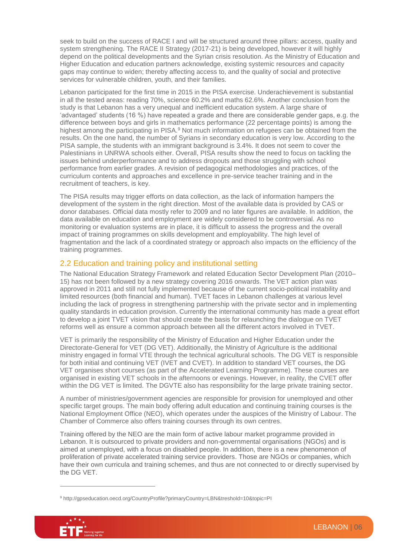seek to build on the success of RACE I and will be structured around three pillars: access, quality and system strengthening. The RACE II Strategy (2017-21) is being developed, however it will highly depend on the political developments and the Syrian crisis resolution. As the Ministry of Education and Higher Education and education partners acknowledge, existing systemic resources and capacity gaps may continue to widen; thereby affecting access to, and the quality of social and protective services for vulnerable children, youth, and their families.

Lebanon participated for the first time in 2015 in the PISA exercise. Underachievement is substantial in all the tested areas: reading 70%, science 60.2% and maths 62.6%. Another conclusion from the study is that Lebanon has a very unequal and inefficient education system. A large share of 'advantaged' students (16 %) have repeated a grade and there are considerable gender gaps, e.g. the difference between boys and girls in mathematics performance (22 percentage points) is among the highest among the participating in PISA.<sup>9</sup> Not much information on refugees can be obtained from the results. On the one hand, the number of Syrians in secondary education is very low. According to the PISA sample, the students with an immigrant background is 3.4%. It does not seem to cover the Palestinians in UNRWA schools either. Overall, PISA results show the need to focus on tackling the issues behind underperformance and to address dropouts and those struggling with school performance from earlier grades. A revision of pedagogical methodologies and practices, of the curriculum contents and approaches and excellence in pre-service teacher training and in the recruitment of teachers, is key.

The PISA results may trigger efforts on data collection, as the lack of information hampers the development of the system in the right direction. Most of the available data is provided by CAS or donor databases. Official data mostly refer to 2009 and no later figures are available. In addition, the data available on education and employment are widely considered to be controversial. As no monitoring or evaluation systems are in place, it is difficult to assess the progress and the overall impact of training programmes on skills development and employability. The high level of fragmentation and the lack of a coordinated strategy or approach also impacts on the efficiency of the training programmes.

#### 2.2 Education and training policy and institutional setting

The National Education Strategy Framework and related Education Sector Development Plan (2010– 15) has not been followed by a new strategy covering 2016 onwards. The VET action plan was approved in 2011 and still not fully implemented because of the current socio-political instability and limited resources (both financial and human). TVET faces in Lebanon challenges at various level including the lack of progress in strengthening partnership with the private sector and in implementing quality standards in education provision. Currently the international community has made a great effort to develop a joint TVET vision that should create the basis for relaunching the dialogue on TVET reforms well as ensure a common approach between all the different actors involved in TVET.

VET is primarily the responsibility of the Ministry of Education and Higher Education under the Directorate-General for VET (DG VET). Additionally, the Ministry of Agriculture is the additional ministry engaged in formal VTE through the technical agricultural schools. The DG VET is responsible for both initial and continuing VET (IVET and CVET). In addition to standard VET courses, the DG VET organises short courses (as part of the Accelerated Learning Programme). These courses are organised in existing VET schools in the afternoons or evenings. However, in reality, the CVET offer within the DG VET is limited. The DGVTE also has responsibility for the large private training sector.

A number of ministries/government agencies are responsible for provision for unemployed and other specific target groups. The main body offering adult education and continuing training courses is the National Employment Office (NEO), which operates under the auspices of the Ministry of Labour. The Chamber of Commerce also offers training courses through its own centres.

Training offered by the NEO are the main form of active labour market programme provided in Lebanon. It is outsourced to private providers and non-governmental organisations (NGOs) and is aimed at unemployed, with a focus on disabled people. In addition, there is a new phenomenon of proliferation of private accelerated training service providers. Those are NGOs or companies, which have their own curricula and training schemes, and thus are not connected to or directly supervised by the DG VET.

<sup>9</sup> http://gpseducation.oecd.org/CountryProfile?primaryCountry=LBN&treshold=10&topic=PI

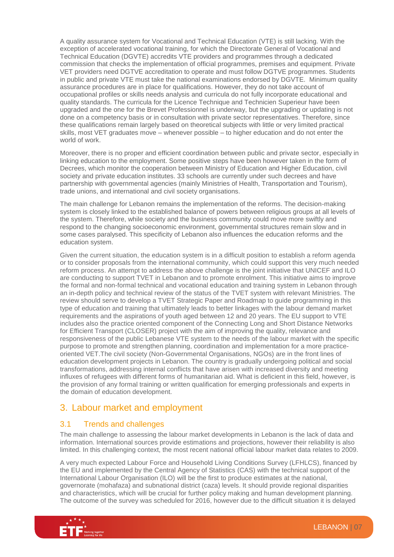A quality assurance system for Vocational and Technical Education (VTE) is still lacking. With the exception of accelerated vocational training, for which the Directorate General of Vocational and Technical Education (DGVTE) accredits VTE providers and programmes through a dedicated commission that checks the implementation of official programmes, premises and equipment. Private VET providers need DGTVE accreditation to operate and must follow DGTVE programmes. Students in public and private VTE must take the national examinations endorsed by DGVTE. Minimum quality assurance procedures are in place for qualifications. However, they do not take account of occupational profiles or skills needs analysis and curricula do not fully incorporate educational and quality standards. The curricula for the Licence Technique and Technicien Superieur have been upgraded and the one for the Brevet Professionnel is underway, but the upgrading or updating is not done on a competency basis or in consultation with private sector representatives. Therefore, since these qualifications remain largely based on theoretical subjects with little or very limited practical skills, most VET graduates move – whenever possible – to higher education and do not enter the world of work.

Moreover, there is no proper and efficient coordination between public and private sector, especially in linking education to the employment. Some positive steps have been however taken in the form of Decrees, which monitor the cooperation between Ministry of Education and Higher Education, civil society and private education institutes. 33 schools are currently under such decrees and have partnership with governmental agencies (mainly Ministries of Health, Transportation and Tourism), trade unions, and international and civil society organisations.

The main challenge for Lebanon remains the implementation of the reforms. The decision-making system is closely linked to the established balance of powers between religious groups at all levels of the system. Therefore, while society and the business community could move more swiftly and respond to the changing socioeconomic environment, governmental structures remain slow and in some cases paralysed. This specificity of Lebanon also influences the education reforms and the education system.

Given the current situation, the education system is in a difficult position to establish a reform agenda or to consider proposals from the international community, which could support this very much needed reform process. An attempt to address the above challenge is the joint initiative that UNICEF and ILO are conducting to support TVET in Lebanon and to promote enrolment. This initiative aims to improve the formal and non-formal technical and vocational education and training system in Lebanon through an in-depth policy and technical review of the status of the TVET system with relevant Ministries. The review should serve to develop a TVET Strategic Paper and Roadmap to guide programming in this type of education and training that ultimately leads to better linkages with the labour demand market requirements and the aspirations of youth aged between 12 and 20 years. The EU support to VTE includes also the practice oriented component of the Connecting Long and Short Distance Networks for Efficient Transport (CLOSER) project with the aim of improving the quality, relevance and responsiveness of the public Lebanese VTE system to the needs of the labour market with the specific purpose to promote and strengthen planning, coordination and implementation for a more practiceoriented VET.The civil society (Non-Governmental Organisations, NGOs) are in the front lines of education development projects in Lebanon. The country is gradually undergoing political and social transformations, addressing internal conflicts that have arisen with increased diversity and meeting influxes of refugees with different forms of humanitarian aid. What is deficient in this field, however, is the provision of any formal training or written qualification for emerging professionals and experts in the domain of education development.

#### 3. Labour market and employment

#### 3.1 Trends and challenges

The main challenge to assessing the labour market developments in Lebanon is the lack of data and information. International sources provide estimations and projections, however their reliability is also limited. In this challenging context, the most recent national official labour market data relates to 2009.

A very much expected Labour Force and Household Living Conditions Survey (LFHLCS), financed by the EU and implemented by the Central Agency of Statistics (CAS) with the technical support of the International Labour Organisation (ILO) will be the first to produce estimates at the national, governorate (mohafaza) and subnational district (caza) levels. It should provide regional disparities and characteristics, which will be crucial for further policy making and human development planning. The outcome of the survey was scheduled for 2016, however due to the difficult situation it is delayed

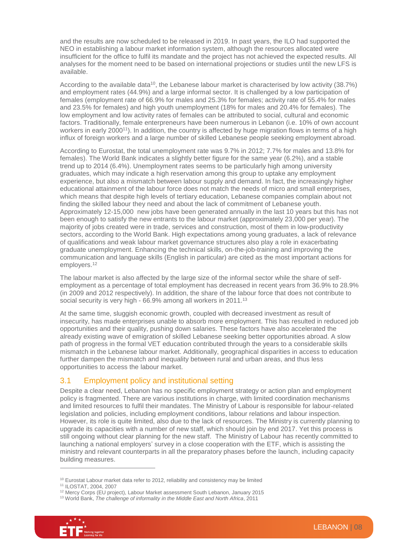and the results are now scheduled to be released in 2019. In past years, the ILO had supported the NEO in establishing a labour market information system, although the resources allocated were insufficient for the office to fulfil its mandate and the project has not achieved the expected results. All analyses for the moment need to be based on international projections or studies until the new LFS is available.

According to the available data<sup>10</sup>, the Lebanese labour market is characterised by low activity (38.7%) and employment rates (44.9%) and a large informal sector. It is challenged by a low participation of females (employment rate of 66.9% for males and 25.3% for females; activity rate of 55.4% for males and 23.5% for females) and high youth unemployment (18% for males and 20.4% for females). The low employment and low activity rates of females can be attributed to social, cultural and economic factors. Traditionally, female enterpreneurs have been numerous in Lebanon (i.e. 10% of own account workers in early 2000<sup>11</sup>). In addition, the country is affected by huge migration flows in terms of a high influx of foreign workers and a large number of skilled Lebanese people seeking employment abroad.

According to Eurostat, the total unemployment rate was 9.7% in 2012; 7.7% for males and 13.8% for females). The World Bank indicates a slightly better figure for the same year (6.2%), and a stable trend up to 2014 (6.4%). Unemployment rates seems to be particularly high among university graduates, which may indicate a high reservation among this group to uptake any employment experience, but also a mismatch between labour supply and demand. In fact, the increasingly higher educational attainment of the labour force does not match the needs of micro and small enterprises, which means that despite high levels of tertiary education, Lebanese companies complain about not finding the skilled labour they need and about the lack of commitment of Lebanese youth. Approximately 12-15,000 new jobs have been generated annually in the last 10 years but this has not been enough to satisfy the new entrants to the labour market (approximately 23,000 per year). The majority of jobs created were in trade, services and construction, most of them in low-productivity sectors, according to the World Bank. High expectations among young graduates, a lack of relevance of qualifications and weak labour market governance structures also play a role in exacerbating graduate unemployment. Enhancing the technical skills, on-the-job-training and improving the communication and language skills (English in particular) are cited as the most important actions for employers.<sup>12</sup>

The labour market is also affected by the large size of the informal sector while the share of selfemployment as a percentage of total employment has decreased in recent years from 36.9% to 28.9% (in 2009 and 2012 respectively). In addition, the share of the labour force that does not contribute to social security is very high - 66.9% among all workers in 2011.<sup>13</sup>

At the same time, sluggish economic growth, coupled with decreased investment as result of insecurity, has made enterprises unable to absorb more employment. This has resulted in reduced job opportunities and their quality, pushing down salaries. These factors have also accelerated the already existing wave of emigration of skilled Lebanese seeking better opportunities abroad. A slow path of progress in the formal VET education contributed through the years to a considerable skills mismatch in the Lebanese labour market. Additionally, geographical disparities in access to education further dampen the mismatch and inequality between rural and urban areas, and thus less opportunities to access the labour market.

#### 3.1 Employment policy and institutional setting

Despite a clear need, Lebanon has no specific employment strategy or action plan and employment policy is fragmented. There are various institutions in charge, with limited coordination mechanisms and limited resources to fulfil their mandates. The Ministry of Labour is responsible for labour-related legislation and policies, including employment conditions, labour relations and labour inspection. However, its role is quite limited, also due to the lack of resources. The Ministry is currently planning to upgrade its capacities with a number of new staff, which should join by end 2017. Yet this process is still ongoing without clear planning for the new staff. The Ministry of Labour has recently committed to launching a national employers' survey in a close cooperation with the ETF, which is assisting the ministry and relevant counterparts in all the preparatory phases before the launch, including capacity building measures.

<sup>13</sup> World Bank, *The challenge of informality in the Middle East and North Africa*, 2011



<sup>&</sup>lt;sup>10</sup> Eurostat Labour market data refer to 2012, reliability and consistency may be limited

<sup>11</sup> ILOSTAT, 2004, 2007

<sup>&</sup>lt;sup>12</sup> Mercy Corps (EU project), Labour Market assessment South Lebanon, January 2015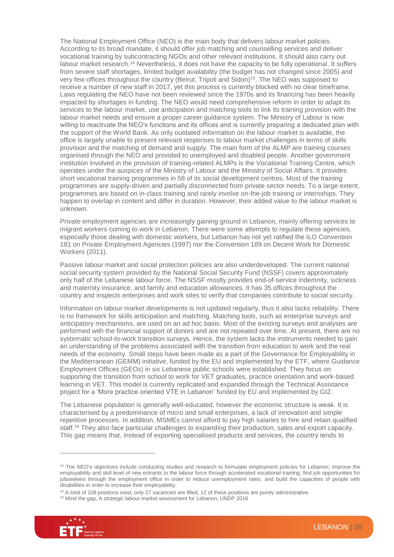The National Employment Office (NEO) is the main body that delivers labour market policies. According to its broad mandate, it should offer job matching and counselling services and deliver vocational training by subcontracting NGOs and other relevant institutions. It should also carry out labour market research.<sup>14</sup> Nevertheless, it does not have the capacity to be fully operational. It suffers from severe staff shortages, limited budget availability (the budget has not changed since 2005) and very few offices throughout the country (Beirut, Tripoli and Sidon)<sup>15</sup>. The NEO was supposed to receive a number of new staff in 2017, yet this process is currently blocked with no clear timeframe. Laws regulating the NEO have not been reviewed since the 1970s and its financing has been heavily impacted by shortages in funding. The NEO would need comprehensive reform in order to adapt its services to the labour market, use anticipation and matching tools to link its training provision with the labour market needs and ensure a proper career guidance system. The Ministry of Labour is now willing to reactivate the NEO's functions and its offices and is currently preparing a dedicated plan with the support of the World Bank. As only outdated information on the labour market is available, the office is largely unable to present relevant responses to labour market challenges in terms of skills provision and the matching of demand and supply. The main form of the ALMP are training courses organised through the NEO and provided to unemployed and disabled people. Another government institution involved in the provision of training-related ALMPs is the Vocational Training Centre, which operates under the auspices of the Ministry of Labour and the Ministry of Social Affairs. It provides short vocational training programmes in 58 of its social development centres. Most of the training programmes are supply-driven and partially disconnected from private sector needs. To a large extent, programmes are based on in-class training and rarely involve on-the-job training or internships. They happen to overlap in content and differ in duration. However, their added value to the labour market is unknown.

Private employment agencies are increasingly gaining ground in Lebanon, mainly offering services to migrant workers coming to work in Lebanon. There were some attempts to regulate these agencies, especially those dealing with domestic workers, but Lebanon has not yet ratified the ILO Convention 181 on Private Employment Agencies (1997) nor the Convention 189 on Decent Work for Domestic Workers (2011).

Passive labour market and social protection policies are also underdeveloped. The current national social security system provided by the National Social Security Fund (NSSF) covers approximately only half of the Lebanese labour force. The NSSF mostly provides end-of-service indemnity, sickness and maternity insurance, and family and education allowances. It has 35 offices throughout the country and inspects enterprises and work sites to verify that companies contribute to social security.

Information on labour market developments is not updated regularly, thus it also lacks reliability. There is no framework for skills anticipation and matching. Matching tools, such as enterprise surveys and anticipatory mechanisms, are used on an ad hoc basis. Most of the existing surveys and analyses are performed with the financial support of donors and are not repeated over time. At present, there are no systematic school-to-work transition surveys. Hence, the system lacks the instruments needed to gain an understanding of the problems associated with the transition from education to work and the real needs of the economy. Small steps have been made as a part of the Governance for Employability in the Mediterranean (GEMM) initiative, funded by the EU and implemented by the ETF, where Guidance Employment Offices (GEOs) in six Lebanese public schools were established. They focus on supporting the transition from school to work for VET graduates, practice orientation and work-based learning in VET. This model is currently replicated and expanded through the Technical Assistance project for a 'More practice oriented VTE in Lebanon' funded by EU and implemented by GIZ.

The Lebanese population is generally well-educated, however the economic structure is weak. It is characterised by a predominance of micro and small enterprises, a lack of innovation and simple repetitive processes. In addition, MSMEs cannot afford to pay high salaries to hire and retain qualified staff.<sup>16</sup> They also face particular challenges to expanding their production, sales and export capacity. This gap means that, instead of exporting specialised products and services, the country tends to

<sup>&</sup>lt;sup>16</sup> Mind the gap, A strategic labour market assessment for Lebanon, UNDP 2016



<sup>&</sup>lt;sup>14</sup> The NEO's objectives include conducting studies and research to formulate employment policies for Lebanon; improve the employability and skill level of new entrants to the labour force through accelerated vocational training; find job opportunities for jobseekers through the employment office in order to reduce unemployment rates; and build the capacities of people with disabilities in order to increase their employability.

 $15$  A total of 108 positions exist, only 27 vacancies are filled; 12 of these positions are purely administrative.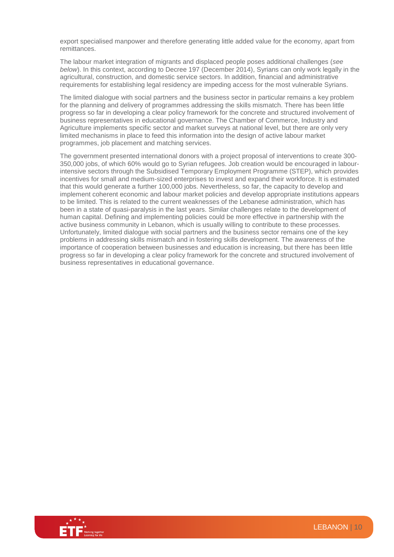export specialised manpower and therefore generating little added value for the economy, apart from remittances.

The labour market integration of migrants and displaced people poses additional challenges (*see below*). In this context, according to Decree 197 (December 2014), Syrians can only work legally in the agricultural, construction, and domestic service sectors. In addition, financial and administrative requirements for establishing legal residency are impeding access for the most vulnerable Syrians.

The limited dialogue with social partners and the business sector in particular remains a key problem for the planning and delivery of programmes addressing the skills mismatch. There has been little progress so far in developing a clear policy framework for the concrete and structured involvement of business representatives in educational governance. The Chamber of Commerce, Industry and Agriculture implements specific sector and market surveys at national level, but there are only very limited mechanisms in place to feed this information into the design of active labour market programmes, job placement and matching services.

The government presented international donors with a project proposal of interventions to create 300- 350,000 jobs, of which 60% would go to Syrian refugees. Job creation would be encouraged in labourintensive sectors through the Subsidised Temporary Employment Programme (STEP), which provides incentives for small and medium-sized enterprises to invest and expand their workforce. It is estimated that this would generate a further 100,000 jobs. Nevertheless, so far, the capacity to develop and implement coherent economic and labour market policies and develop appropriate institutions appears to be limited. This is related to the current weaknesses of the Lebanese administration, which has been in a state of quasi-paralysis in the last years. Similar challenges relate to the development of human capital. Defining and implementing policies could be more effective in partnership with the active business community in Lebanon, which is usually willing to contribute to these processes. Unfortunately, limited dialogue with social partners and the business sector remains one of the key problems in addressing skills mismatch and in fostering skills development. The awareness of the importance of cooperation between businesses and education is increasing, but there has been little progress so far in developing a clear policy framework for the concrete and structured involvement of business representatives in educational governance.

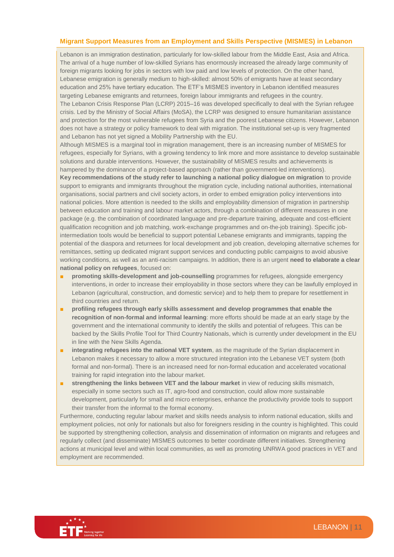#### **Migrant Support Measures from an Employment and Skills Perspective (MISMES) in Lebanon**

Lebanon is an immigration destination, particularly for low-skilled labour from the Middle East, Asia and Africa. The arrival of a huge number of low-skilled Syrians has enormously increased the already large community of foreign migrants looking for jobs in sectors with low paid and low levels of protection. On the other hand, Lebanese emigration is generally medium to high-skilled: almost 50% of emigrants have at least secondary education and 25% have tertiary education. The ETF's MISMES inventory in Lebanon identified measures targeting Lebanese emigrants and returnees, foreign labour immigrants and refugees in the country. The Lebanon Crisis Response Plan (LCRP) 2015–16 was developed specifically to deal with the Syrian refugee crisis. Led by the Ministry of Social Affairs (MoSA), the LCRP was designed to ensure humanitarian assistance and protection for the most vulnerable refugees from Syria and the poorest Lebanese citizens. However, Lebanon does not have a strategy or policy framework to deal with migration. The institutional set-up is very fragmented and Lebanon has not yet signed a Mobility Partnership with the EU.

Although MISMES is a marginal tool in migration management, there is an increasing number of MISMES for refugees, especially for Syrians, with a growing tendency to link more and more assistance to develop sustainable solutions and durable interventions. However, the sustainability of MISMES results and achievements is hampered by the dominance of a project-based approach (rather than government-led interventions). **Key recommendations of the study refer to launching a national policy dialogue on migration** to provide support to emigrants and immigrants throughout the migration cycle, including national authorities, international organisations, social partners and civil society actors, in order to embed emigration policy interventions into national policies. More attention is needed to the skills and employability dimension of migration in partnership between education and training and labour market actors, through a combination of different measures in one package (e.g. the combination of coordinated language and pre-departure training, adequate and cost-efficient qualification recognition and job matching, work-exchange programmes and on-the-job training). Specific jobintermediation tools would be beneficial to support potential Lebanese emigrants and immigrants, tapping the potential of the diaspora and returnees for local development and job creation, developing alternative schemes for remittances, setting up dedicated migrant support services and conducting public campaigns to avoid abusive working conditions, as well as an anti-racism campaigns. In addition, there is an urgent **need to elaborate a clear national policy on refugees**, focused on:

- **promoting skills-development and job-counselling** programmes for refugees, alongside emergency interventions, in order to increase their employability in those sectors where they can be lawfully employed in Lebanon (agricultural, construction, and domestic service) and to help them to prepare for resettlement in third countries and return.
- **profiling refugees through early skills assessment and develop programmes that enable the recognition of non-formal and informal learning**: more efforts should be made at an early stage by the government and the international community to identify the skills and potential of refugees. This can be backed by the Skills Profile Tool for Third Country Nationals, which is currently under development in the EU in line with the New Skills Agenda.
- **integrating refugees into the national VET system**, as the magnitude of the Syrian displacement in Lebanon makes it necessary to allow a more structured integration into the Lebanese VET system (both formal and non-formal). There is an increased need for non-formal education and accelerated vocational training for rapid integration into the labour market.
- **■** strengthening the links between VET and the labour market in view of reducing skills mismatch, especially in some sectors such as IT, agro-food and construction, could allow more sustainable development, particularly for small and micro enterprises, enhance the productivity provide tools to support their transfer from the informal to the formal economy.

Furthermore, conducting regular labour market and skills needs analysis to inform national education, skills and employment policies, not only for nationals but also for foreigners residing in the country is highlighted. This could be supported by strengthening collection, analysis and dissemination of information on migrants and refugees and regularly collect (and disseminate) MISMES outcomes to better coordinate different initiatives. Strengthening actions at municipal level and within local communities, as well as promoting UNRWA good practices in VET and employment are recommended.

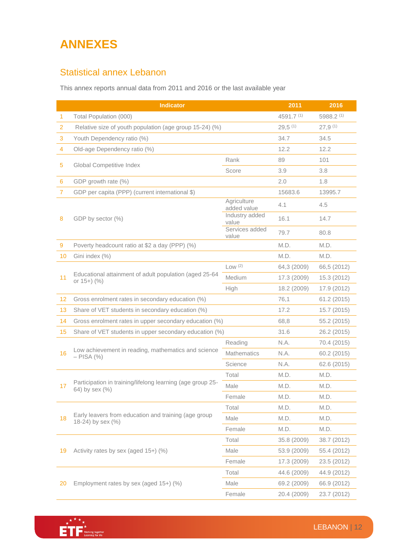# **ANNEXES**

### Statistical annex Lebanon

This annex reports annual data from 2011 and 2016 or the last available year

|                | Indicator                                                                    |                            |             | 2016        |
|----------------|------------------------------------------------------------------------------|----------------------------|-------------|-------------|
| 1.             | Total Population (000)                                                       |                            | 4591.7 (1)  | 5988.2 (1)  |
| $\overline{2}$ | Relative size of youth population (age group 15-24) (%)                      |                            | $29,5$ (1)  | $27,9$ (1)  |
| 3              | Youth Dependency ratio (%)                                                   |                            | 34.7        | 34.5        |
| 4              | Old-age Dependency ratio (%)                                                 |                            | 12.2        | 12.2        |
|                |                                                                              | Rank                       | 89          | 101         |
| 5              | Global Competitive Index                                                     | Score                      | 3.9         | 3.8         |
| 6              | GDP growth rate (%)                                                          |                            | 2.0         | 1.8         |
| $\overline{7}$ | GDP per capita (PPP) (current international \$)                              |                            | 15683.6     | 13995.7     |
|                | GDP by sector (%)                                                            | Agriculture<br>added value | 4.1         | 4.5         |
| 8              |                                                                              | Industry added<br>value    | 16.1        | 14.7        |
|                |                                                                              | Services added<br>value    | 79.7        | 80.8        |
| 9              | Poverty headcount ratio at \$2 a day (PPP) (%)                               |                            | M.D.        | M.D.        |
| 10             | Gini index (%)                                                               |                            | M.D.        | M.D.        |
|                |                                                                              | Low(2)                     | 64,3 (2009) | 66,5 (2012) |
| 11             | Educational attainment of adult population (aged 25-64<br>or $15+$ ) $(%$ )  | Medium                     | 17.3 (2009) | 15.3 (2012) |
|                |                                                                              | High                       | 18.2 (2009) | 17.9 (2012) |
| 12             | Gross enrolment rates in secondary education (%)                             |                            | 76,1        | 61.2 (2015) |
| 13             | Share of VET students in secondary education (%)                             |                            | 17.2        | 15.7 (2015) |
| 14             | Gross enrolment rates in upper secondary education (%)                       |                            | 68,8        | 55.2 (2015) |
| 15             | Share of VET students in upper secondary education (%)                       |                            | 31.6        | 26.2 (2015) |
|                | Low achievement in reading, mathematics and science<br>$-$ PISA $(%)$        | Reading                    | N.A.        | 70.4 (2015) |
| 16             |                                                                              | <b>Mathematics</b>         | N.A.        | 60.2 (2015) |
|                |                                                                              | Science                    | N.A.        | 62.6 (2015) |
|                | Participation in training/lifelong learning (age group 25-<br>64) by sex (%) | Total                      | M.D.        | M.D.        |
| 17             |                                                                              | Male                       | M.D.        | M.D.        |
|                |                                                                              | Female                     | M.D.        | M.D.        |
| 18             | Early leavers from education and training (age group<br>18-24) by sex (%)    | Total                      | M.D.        | M.D.        |
|                |                                                                              | Male                       | M.D.        | M.D.        |
|                |                                                                              | Female                     | M.D.        | M.D.        |
| 19             | Activity rates by sex (aged 15+) (%)                                         | Total                      | 35.8 (2009) | 38.7 (2012) |
|                |                                                                              | Male                       | 53.9 (2009) | 55.4 (2012) |
|                |                                                                              | Female                     | 17.3 (2009) | 23.5 (2012) |
|                |                                                                              | Total                      | 44.6 (2009) | 44.9 (2012) |
| 20             | Employment rates by sex (aged 15+) (%)                                       | Male                       | 69.2 (2009) | 66.9 (2012) |
|                |                                                                              | Female                     | 20.4 (2009) | 23.7 (2012) |

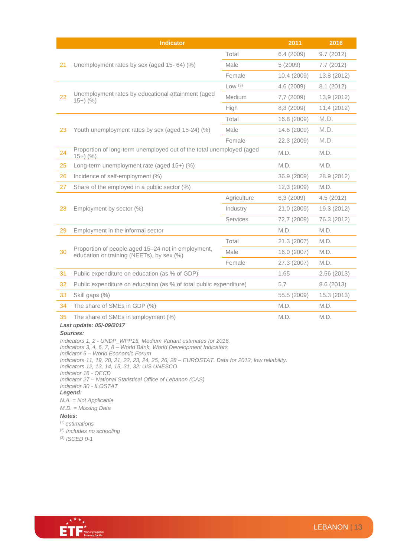|                                                                                                                                                                                                                                                                                                                                                                                                                                                                                                                                                                            | <b>Indicator</b>                                                                                |                 | 2011        | 2016        |
|----------------------------------------------------------------------------------------------------------------------------------------------------------------------------------------------------------------------------------------------------------------------------------------------------------------------------------------------------------------------------------------------------------------------------------------------------------------------------------------------------------------------------------------------------------------------------|-------------------------------------------------------------------------------------------------|-----------------|-------------|-------------|
| 21                                                                                                                                                                                                                                                                                                                                                                                                                                                                                                                                                                         | Unemployment rates by sex (aged 15-64) (%)                                                      | Total           | 6.4(2009)   | 9.7(2012)   |
|                                                                                                                                                                                                                                                                                                                                                                                                                                                                                                                                                                            |                                                                                                 | Male            | 5(2009)     | 7.7(2012)   |
|                                                                                                                                                                                                                                                                                                                                                                                                                                                                                                                                                                            |                                                                                                 | Female          | 10.4 (2009) | 13.8 (2012) |
| 22                                                                                                                                                                                                                                                                                                                                                                                                                                                                                                                                                                         | Unemployment rates by educational attainment (aged<br>$(15+)$ $(%$ )                            | Low (3)         | 4.6(2009)   | 8.1(2012)   |
|                                                                                                                                                                                                                                                                                                                                                                                                                                                                                                                                                                            |                                                                                                 | <b>Medium</b>   | 7,7 (2009)  | 13,9 (2012) |
|                                                                                                                                                                                                                                                                                                                                                                                                                                                                                                                                                                            |                                                                                                 | High            | 8,8 (2009)  | 11,4 (2012) |
| 23                                                                                                                                                                                                                                                                                                                                                                                                                                                                                                                                                                         | Youth unemployment rates by sex (aged 15-24) (%)                                                | Total           | 16.8 (2009) | M.D.        |
|                                                                                                                                                                                                                                                                                                                                                                                                                                                                                                                                                                            |                                                                                                 | Male            | 14.6 (2009) | M.D.        |
|                                                                                                                                                                                                                                                                                                                                                                                                                                                                                                                                                                            |                                                                                                 | Female          | 22.3 (2009) | M.D.        |
| 24                                                                                                                                                                                                                                                                                                                                                                                                                                                                                                                                                                         | Proportion of long-term unemployed out of the total unemployed (aged<br>$15+)$ (%)              |                 | M.D.        | M.D.        |
| 25                                                                                                                                                                                                                                                                                                                                                                                                                                                                                                                                                                         | Long-term unemployment rate (aged 15+) (%)                                                      |                 | M.D.        | M.D.        |
| 26                                                                                                                                                                                                                                                                                                                                                                                                                                                                                                                                                                         | Incidence of self-employment (%)                                                                |                 | 36.9 (2009) | 28.9 (2012) |
| 27                                                                                                                                                                                                                                                                                                                                                                                                                                                                                                                                                                         | Share of the employed in a public sector (%)                                                    |                 | 12,3 (2009) | M.D.        |
|                                                                                                                                                                                                                                                                                                                                                                                                                                                                                                                                                                            |                                                                                                 | Agriculture     | 6,3(2009)   | 4.5(2012)   |
| 28                                                                                                                                                                                                                                                                                                                                                                                                                                                                                                                                                                         | Employment by sector (%)                                                                        | Industry        | 21,0 (2009) | 19.3 (2012) |
|                                                                                                                                                                                                                                                                                                                                                                                                                                                                                                                                                                            |                                                                                                 | <b>Services</b> | 72,7 (2009) | 76.3 (2012) |
| 29                                                                                                                                                                                                                                                                                                                                                                                                                                                                                                                                                                         | Employment in the informal sector                                                               |                 | M.D.        | M.D.        |
|                                                                                                                                                                                                                                                                                                                                                                                                                                                                                                                                                                            | Proportion of people aged 15-24 not in employment,<br>education or training (NEETs), by sex (%) | Total           | 21.3 (2007) | M.D.        |
| 30                                                                                                                                                                                                                                                                                                                                                                                                                                                                                                                                                                         |                                                                                                 | Male            | 16.0 (2007) | M.D.        |
|                                                                                                                                                                                                                                                                                                                                                                                                                                                                                                                                                                            |                                                                                                 | Female          | 27.3 (2007) | M.D.        |
| 31                                                                                                                                                                                                                                                                                                                                                                                                                                                                                                                                                                         | Public expenditure on education (as % of GDP)                                                   |                 | 1.65        | 2.56 (2013) |
| 32                                                                                                                                                                                                                                                                                                                                                                                                                                                                                                                                                                         | Public expenditure on education (as % of total public expenditure)                              |                 | 5.7         | 8.6 (2013)  |
| 33                                                                                                                                                                                                                                                                                                                                                                                                                                                                                                                                                                         | Skill gaps (%)                                                                                  |                 | 55.5 (2009) | 15.3 (2013) |
| 34                                                                                                                                                                                                                                                                                                                                                                                                                                                                                                                                                                         | The share of SMEs in GDP (%)                                                                    |                 | M.D.        | M.D.        |
| M.D.<br>M.D.<br>35<br>The share of SMEs in employment (%)<br>Last update: 05/-09/2017<br>Sources:                                                                                                                                                                                                                                                                                                                                                                                                                                                                          |                                                                                                 |                 |             |             |
| Indicators 1, 2 - UNDP_WPP15, Medium Variant estimates for 2016.<br>Indicators 3, 4, 6, 7, 8 – World Bank, World Development Indicators<br>Indicator 5 - World Economic Forum<br>Indicators 11, 19, 20, 21, 22, 23, 24, 25, 26, 28 - EUROSTAT. Data for 2012, low reliability.<br>Indicators 12, 13, 14, 15, 31, 32: UIS UNESCO<br>Indicator 16 - OECD<br>Indicator 27 – National Statistical Office of Lebanon (CAS)<br>Indicator 30 - ILOSTAT<br>Legend:<br>$N.A. = Not Applicable$<br>$M.D. = Missing Data$<br>Notes:<br>$(1)$ estimations<br>(2) Includes no schooling |                                                                                                 |                 |             |             |

(3) *ISCED 0-1*

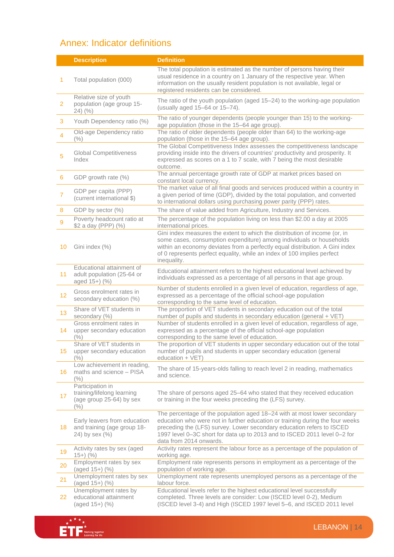## Annex: Indicator definitions

|                | <b>Description</b>                                                                    | <b>Definition</b>                                                                                                                                                                                                                                                                                                                          |
|----------------|---------------------------------------------------------------------------------------|--------------------------------------------------------------------------------------------------------------------------------------------------------------------------------------------------------------------------------------------------------------------------------------------------------------------------------------------|
| 1              | Total population (000)                                                                | The total population is estimated as the number of persons having their<br>usual residence in a country on 1 January of the respective year. When<br>information on the usually resident population is not available, legal or<br>registered residents can be considered.                                                                  |
| $\overline{2}$ | Relative size of youth<br>population (age group 15-<br>$24)$ $(\%$                    | The ratio of the youth population (aged 15-24) to the working-age population<br>(usually aged 15-64 or 15-74).                                                                                                                                                                                                                             |
| 3              | Youth Dependency ratio (%)                                                            | The ratio of younger dependents (people younger than 15) to the working-<br>age population (those in the 15-64 age group).                                                                                                                                                                                                                 |
| 4              | Old-age Dependency ratio<br>$(\% )$                                                   | The ratio of older dependents (people older than 64) to the working-age<br>population (those in the 15-64 age group).                                                                                                                                                                                                                      |
| 5              | <b>Global Competitiveness</b><br>Index                                                | The Global Competitiveness Index assesses the competitiveness landscape<br>providing inside into the drivers of countries' productivity and prosperity. It<br>expressed as scores on a 1 to 7 scale, with 7 being the most desirable<br>outcome.                                                                                           |
| 6              | GDP growth rate (%)                                                                   | The annual percentage growth rate of GDP at market prices based on<br>constant local currency.                                                                                                                                                                                                                                             |
| $\overline{7}$ | GDP per capita (PPP)<br>(current international \$)                                    | The market value of all final goods and services produced within a country in<br>a given period of time (GDP), divided by the total population, and converted<br>to international dollars using purchasing power parity (PPP) rates.                                                                                                       |
| 8              | GDP by sector (%)                                                                     | The share of value added from Agriculture, Industry and Services.                                                                                                                                                                                                                                                                          |
| 9              | Poverty headcount ratio at<br>\$2 a day (PPP) (%)                                     | The percentage of the population living on less than \$2.00 a day at 2005<br>international prices.                                                                                                                                                                                                                                         |
| 10             | Gini index (%)                                                                        | Gini index measures the extent to which the distribution of income (or, in<br>some cases, consumption expenditure) among individuals or households<br>within an economy deviates from a perfectly equal distribution. A Gini index<br>of 0 represents perfect equality, while an index of 100 implies perfect<br>inequality.               |
| 11             | Educational attainment of<br>adult population (25-64 or<br>aged 15+) (%)              | Educational attainment refers to the highest educational level achieved by<br>individuals expressed as a percentage of all persons in that age group.                                                                                                                                                                                      |
| 12             | Gross enrolment rates in<br>secondary education (%)                                   | Number of students enrolled in a given level of education, regardless of age,<br>expressed as a percentage of the official school-age population<br>corresponding to the same level of education.                                                                                                                                          |
| 13             | Share of VET students in<br>secondary (%)                                             | The proportion of VET students in secondary education out of the total<br>number of pupils and students in secondary education (general + VET)                                                                                                                                                                                             |
| 14             | Gross enrolment rates in<br>upper secondary education<br>$(\%)$                       | Number of students enrolled in a given level of education, regardless of age,<br>expressed as a percentage of the official school-age population<br>corresponding to the same level of education.                                                                                                                                          |
| 15             | Share of VET students in<br>upper secondary education<br>(% )                         | The proportion of VET students in upper secondary education out of the total<br>number of pupils and students in upper secondary education (general<br>education + VET)                                                                                                                                                                    |
| 16             | Low achievement in reading,<br>maths and science - PISA<br>(% )                       | The share of 15-years-olds falling to reach level 2 in reading, mathematics<br>and science.                                                                                                                                                                                                                                                |
| 17             | Participation in<br>training/lifelong learning<br>(age group 25-64) by sex<br>$(\% )$ | The share of persons aged 25-64 who stated that they received education<br>or training in the four weeks preceding the (LFS) survey.                                                                                                                                                                                                       |
| 18             | Early leavers from education<br>and training (age group 18-<br>24) by sex (%)         | The percentage of the population aged 18–24 with at most lower secondary<br>education who were not in further education or training during the four weeks<br>preceding the (LFS) survey. Lower secondary education refers to ISCED<br>1997 level 0-3C short for data up to 2013 and to ISCED 2011 level 0-2 for<br>data from 2014 onwards. |
| 19             | Activity rates by sex (aged<br>$15+)$ (%)                                             | Activity rates represent the labour force as a percentage of the population of<br>working age.                                                                                                                                                                                                                                             |
| 20             | Employment rates by sex<br>$(\text{aged }15+)$ $(\%)$                                 | Employment rate represents persons in employment as a percentage of the<br>population of working age.                                                                                                                                                                                                                                      |
| 21             | Unemployment rates by sex<br>(aged 15+) (%)                                           | Unemployment rate represents unemployed persons as a percentage of the<br>labour force.                                                                                                                                                                                                                                                    |
| 22             | Unemployment rates by<br>educational attainment<br>(aged 15+) (%)                     | Educational levels refer to the highest educational level successfully<br>completed. Three levels are consider: Low (ISCED level 0-2), Medium<br>(ISCED level 3-4) and High (ISCED 1997 level 5-6, and ISCED 2011 level                                                                                                                    |

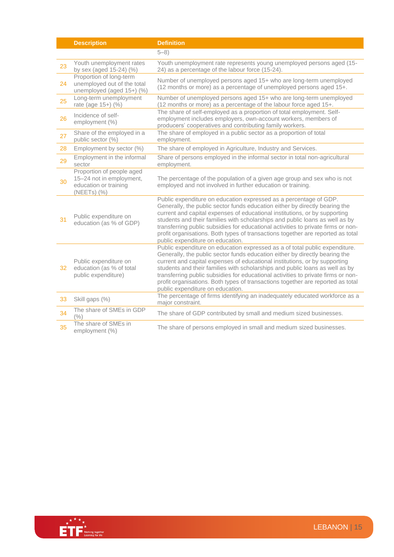|    | <b>Description</b>                                                                            | <b>Definition</b>                                                                                                                                                                                                                                                                                                                                                                                                                                                                                                                    |
|----|-----------------------------------------------------------------------------------------------|--------------------------------------------------------------------------------------------------------------------------------------------------------------------------------------------------------------------------------------------------------------------------------------------------------------------------------------------------------------------------------------------------------------------------------------------------------------------------------------------------------------------------------------|
|    |                                                                                               | $5 - 8$ )                                                                                                                                                                                                                                                                                                                                                                                                                                                                                                                            |
| 23 | Youth unemployment rates<br>by sex (aged 15-24) (%)                                           | Youth unemployment rate represents young unemployed persons aged (15-<br>24) as a percentage of the labour force (15-24).                                                                                                                                                                                                                                                                                                                                                                                                            |
| 24 | Proportion of long-term<br>unemployed out of the total<br>unemployed (aged 15+) (%)           | Number of unemployed persons aged 15+ who are long-term unemployed<br>(12 months or more) as a percentage of unemployed persons aged 15+.                                                                                                                                                                                                                                                                                                                                                                                            |
| 25 | Long-term unemployment<br>rate (age 15+) (%)                                                  | Number of unemployed persons aged 15+ who are long-term unemployed<br>(12 months or more) as a percentage of the labour force aged 15+.                                                                                                                                                                                                                                                                                                                                                                                              |
| 26 | Incidence of self-<br>employment (%)                                                          | The share of self-employed as a proportion of total employment. Self-<br>employment includes employers, own-account workers, members of<br>producers' cooperatives and contributing family workers.                                                                                                                                                                                                                                                                                                                                  |
| 27 | Share of the employed in a<br>public sector (%)                                               | The share of employed in a public sector as a proportion of total<br>employment.                                                                                                                                                                                                                                                                                                                                                                                                                                                     |
| 28 | Employment by sector (%)                                                                      | The share of employed in Agriculture, Industry and Services.                                                                                                                                                                                                                                                                                                                                                                                                                                                                         |
| 29 | Employment in the informal<br>sector                                                          | Share of persons employed in the informal sector in total non-agricultural<br>employment.                                                                                                                                                                                                                                                                                                                                                                                                                                            |
| 30 | Proportion of people aged<br>15-24 not in employment,<br>education or training<br>(NEETs) (%) | The percentage of the population of a given age group and sex who is not<br>employed and not involved in further education or training.                                                                                                                                                                                                                                                                                                                                                                                              |
| 31 | Public expenditure on<br>education (as % of GDP)                                              | Public expenditure on education expressed as a percentage of GDP.<br>Generally, the public sector funds education either by directly bearing the<br>current and capital expenses of educational institutions, or by supporting<br>students and their families with scholarships and public loans as well as by<br>transferring public subsidies for educational activities to private firms or non-<br>profit organisations. Both types of transactions together are reported as total<br>public expenditure on education.           |
| 32 | Public expenditure on<br>education (as % of total<br>public expenditure)                      | Public expenditure on education expressed as a of total public expenditure.<br>Generally, the public sector funds education either by directly bearing the<br>current and capital expenses of educational institutions, or by supporting<br>students and their families with scholarships and public loans as well as by<br>transferring public subsidies for educational activities to private firms or non-<br>profit organisations. Both types of transactions together are reported as total<br>public expenditure on education. |
| 33 | Skill gaps (%)                                                                                | The percentage of firms identifying an inadequately educated workforce as a<br>major constraint.                                                                                                                                                                                                                                                                                                                                                                                                                                     |
| 34 | The share of SMEs in GDP<br>$($ %)                                                            | The share of GDP contributed by small and medium sized businesses.                                                                                                                                                                                                                                                                                                                                                                                                                                                                   |
| 35 | The share of SMEs in<br>employment (%)                                                        | The share of persons employed in small and medium sized businesses.                                                                                                                                                                                                                                                                                                                                                                                                                                                                  |